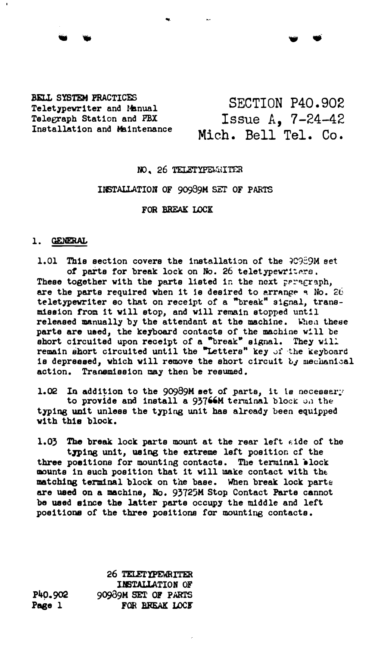## BELL SYSTEM PRACTICES Teletypewriter and Manual Telegraph Station and PBX Installation and Maintenance

# SECTION P40.902 Issue A, 7-24-42 Mich. Bell Tel. Co.

'W •

## NO. 26 TELETYPEWRITER

### INSTALLATION OF 90939M SET OF PARTS

#### FOR BBEAK LOCK

### 1. GENERAL

1.01 This section covers the installation of the 90989M set of parts for break lock on No. 26 teletypewriters. These together with the parts listed in the next paragraph, are the parts required when it is desired to arrange a No. 26 teletypewriter eo that on receipt of a "break" signal, transmission from it will atop, and will remain stopped unt!l released manually by the attendant at the machine. When these parte are used, the keyboard contacts of the machine will be short circuited upon receipt of a "break" signal. They will remain short circuited until the "Letters" key of the keyboard is depressed, which will remove the short circuit by mechanical action. Transmission may then be resumed.

1.02 In addition to the 90989M set of parts, it is necessary

to provide and install a 93766M terminal block on the typing unit unless the typing unit has already been equipped with this block.

1.03 The break lock parts mount at the rear left side of the typing unit, using the extreme left position of the three positions for mounting contacts. The terminal block mounts in such position that it will make contact with the matching terminal block on the base. When break lock parts are used on a machine, No, 93725M Stop Contact Parte cannot be used since the latter parte occupy the middle and left poeitione of the three positions for mounting contacts,

P40.9Q2 Paee 1 26 TELETYPEWRITER INSTALLATION OF 9Q939M SET OF PARTS FOR BREAK LOCK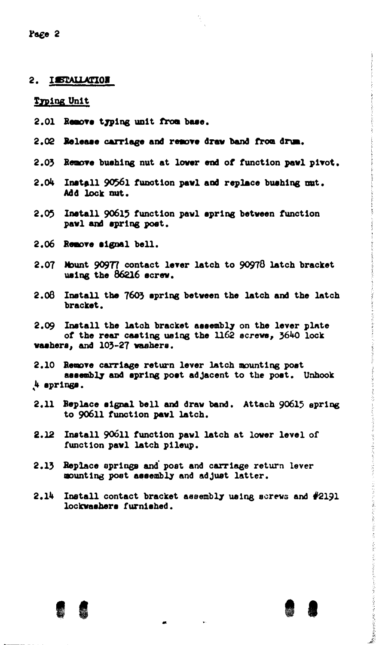Page 2

### 2. ISTALLATION

Typing Unit

- 2.01 Remove truing unit from base.
- 2.02 Release carriage and remove draw band from drum.
- 2.03 Remove bushing nut at lower end of function pawl pivot.
- 2.04 Install 90561 function pawl and replace bushing mut. Add lock mut.
- 2.05 Install 90615 function pawl spring between function pawl and spring post.
- 2.06 Remove signal bell.
- 2.07 Mount 90977 contact lever latch to 90978 latch bracket using the 86216 screw.
- 2.08 Install the 7603 spring between the latch and the latch bracket.

2.09 Install the latch bracket assembly on the lever plate of the rear casting using the 1162 screws, 3640 lock vashers, and 103-27 washers.

2.10 Remove carriage return lever latch mounting post assembly and spring post adjacent to the post. Unhook 4 springs.

- 2.11 Replace signal bell and draw band. Attach 90615 spring to 90611 function pawl latch.
- 2.12 Install 90611 function pawl latch at lower level of function pawl latch pileup.
- 2.13 Replace springs and post and carriage return lever mounting post assembly and adjust latter.
- 2.14 Install contact bracket assembly using screws and #2191 lockwashers furnished.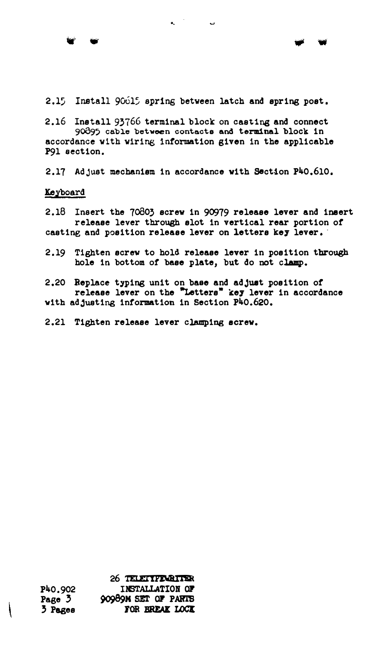2.15 Install 90015 spring between latch and spring post.

**- -**

2.16 Install 93766 terminal block on casting and connect 90895 cable between contacts and terminal block in accordance with wiring information given in the applicable P91 section.

2.17 Adjust mechanism in accordance with Section P40,610.

Keyboard

2.18 Insert the 7o803 screw in 90979 release lever and insert release lever through slot in vertical rear portion of casting and position release lever on letters key lever.

2.19 Tighten screw to hold release lever in position tbrough hole in bottom of base plate, but do not clamp.

2,20 Beplace typing unit on base and adjuat position of release lever on the "Letters" key lever in accordance with adjusting information in Section P40.620.

2.21 Tighten release lever clamping screw.

P40.902 Page 3 3 Pages 26 TELETTEMBITER 9()9S9 M SET OF PABTS INSTALLATION OF FOR BREAK LOCK

 $\mathbf{I}$